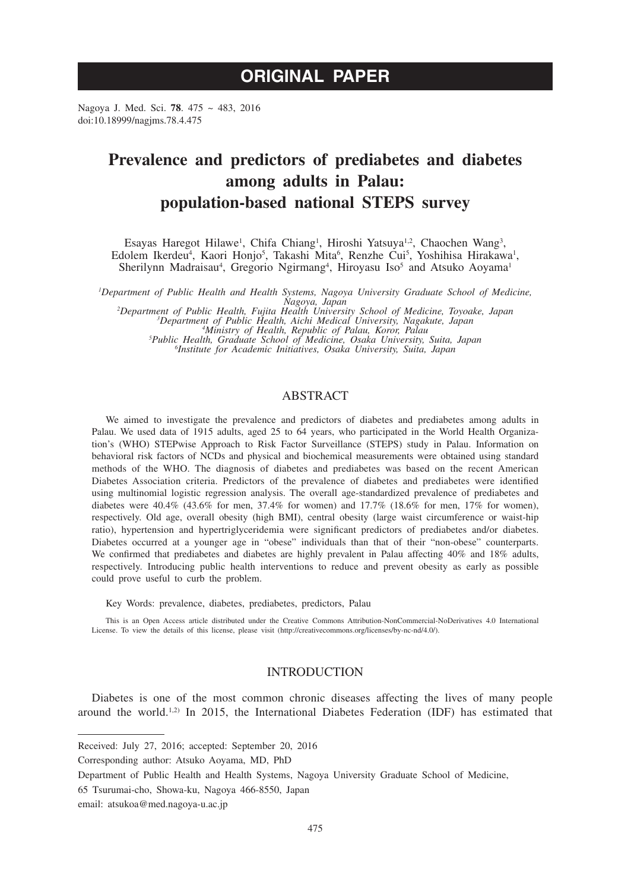# **ORIGINAL PAPER**

Nagoya J. Med. Sci. **78**. 475 ~ 483, 2016 doi:10.18999/nagjms.78.4.475

## **Prevalence and predictors of prediabetes and diabetes among adults in Palau: population-based national STEPS survey**

Esayas Haregot Hilawe<sup>1</sup>, Chifa Chiang<sup>1</sup>, Hiroshi Yatsuya<sup>1,2</sup>, Chaochen Wang<sup>3</sup>, Edolem Ikerdeu<sup>4</sup>, Kaori Honjo<sup>5</sup>, Takashi Mita<sup>6</sup>, Renzhe Cui<sup>5</sup>, Yoshihisa Hirakawa<sup>1</sup>, Sherilynn Madraisau<sup>4</sup>, Gregorio Ngirmang<sup>4</sup>, Hiroyasu Iso<sup>5</sup> and Atsuko Aoyama<sup>1</sup>

*1 Department of Public Health and Health Systems, Nagoya University Graduate School of Medicine,* 

*Nagoya, Japan <sup>2</sup> Department of Public Health, Fujita Health University School of Medicine, Toyoake, Japan <sup>3</sup>* <sup>3</sup>Department of Public Health, Aichi Medical University, Nagakute, Japan<br><sup>4</sup>Ministry of Health, Republic of Palau, Koror, Palau<br><sup>5</sup>Public Health, Graduate School of Medicine, Osaka University, Suita, Japan<br><sup>6</sup>Institute fo *Institute for Academic Initiatives, Osaka University, Suita, Japan*

## ABSTRACT

We aimed to investigate the prevalence and predictors of diabetes and prediabetes among adults in Palau. We used data of 1915 adults, aged 25 to 64 years, who participated in the World Health Organization's (WHO) STEPwise Approach to Risk Factor Surveillance (STEPS) study in Palau. Information on behavioral risk factors of NCDs and physical and biochemical measurements were obtained using standard methods of the WHO. The diagnosis of diabetes and prediabetes was based on the recent American Diabetes Association criteria. Predictors of the prevalence of diabetes and prediabetes were identified using multinomial logistic regression analysis. The overall age-standardized prevalence of prediabetes and diabetes were  $40.4\%$  (43.6% for men, 37.4% for women) and 17.7% (18.6% for men, 17% for women), respectively. Old age, overall obesity (high BMI), central obesity (large waist circumference or waist-hip ratio), hypertension and hypertriglyceridemia were significant predictors of prediabetes and/or diabetes. Diabetes occurred at a younger age in "obese" individuals than that of their "non-obese" counterparts. We confirmed that prediabetes and diabetes are highly prevalent in Palau affecting 40% and 18% adults, respectively. Introducing public health interventions to reduce and prevent obesity as early as possible could prove useful to curb the problem.

Key Words: prevalence, diabetes, prediabetes, predictors, Palau

This is an Open Access article distributed under the Creative Commons Attribution-NonCommercial-NoDerivatives 4.0 International License. To view the details of this license, please visit (http://creativecommons.org/licenses/by-nc-nd/4.0/).

## INTRODUCTION

Diabetes is one of the most common chronic diseases affecting the lives of many people around the world.<sup>1,2)</sup> In 2015, the International Diabetes Federation (IDF) has estimated that

Received: July 27, 2016; accepted: September 20, 2016

Corresponding author: Atsuko Aoyama, MD, PhD

Department of Public Health and Health Systems, Nagoya University Graduate School of Medicine,

<sup>65</sup> Tsurumai-cho, Showa-ku, Nagoya 466-8550, Japan

email: atsukoa@med.nagoya-u.ac.jp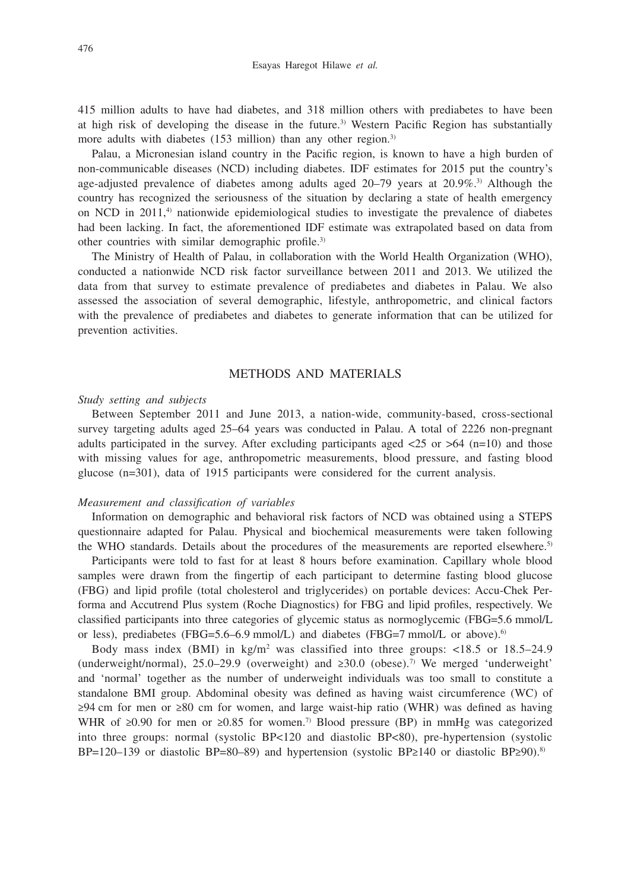415 million adults to have had diabetes, and 318 million others with prediabetes to have been at high risk of developing the disease in the future.<sup>3)</sup> Western Pacific Region has substantially more adults with diabetes (153 million) than any other region.<sup>3)</sup>

Palau, a Micronesian island country in the Pacific region, is known to have a high burden of non-communicable diseases (NCD) including diabetes. IDF estimates for 2015 put the country's age-adjusted prevalence of diabetes among adults aged  $20-79$  years at  $20.9\%$ <sup>3)</sup> Although the country has recognized the seriousness of the situation by declaring a state of health emergency on NCD in  $2011<sup>4</sup>$  nationwide epidemiological studies to investigate the prevalence of diabetes had been lacking. In fact, the aforementioned IDF estimate was extrapolated based on data from other countries with similar demographic profile.3)

The Ministry of Health of Palau, in collaboration with the World Health Organization (WHO), conducted a nationwide NCD risk factor surveillance between 2011 and 2013. We utilized the data from that survey to estimate prevalence of prediabetes and diabetes in Palau. We also assessed the association of several demographic, lifestyle, anthropometric, and clinical factors with the prevalence of prediabetes and diabetes to generate information that can be utilized for prevention activities.

## METHODS AND MATERIALS

#### *Study setting and subjects*

Between September 2011 and June 2013, a nation-wide, community-based, cross-sectional survey targeting adults aged 25–64 years was conducted in Palau. A total of 2226 non-pregnant adults participated in the survey. After excluding participants aged  $\langle 25 \text{ or } > 64 \text{ (n=10)}$  and those with missing values for age, anthropometric measurements, blood pressure, and fasting blood glucose (n=301), data of 1915 participants were considered for the current analysis.

### *Measurement and classification of variables*

Information on demographic and behavioral risk factors of NCD was obtained using a STEPS questionnaire adapted for Palau. Physical and biochemical measurements were taken following the WHO standards. Details about the procedures of the measurements are reported elsewhere.<sup>5)</sup>

Participants were told to fast for at least 8 hours before examination. Capillary whole blood samples were drawn from the fingertip of each participant to determine fasting blood glucose (FBG) and lipid profile (total cholesterol and triglycerides) on portable devices: Accu-Chek Performa and Accutrend Plus system (Roche Diagnostics) for FBG and lipid profiles, respectively. We classified participants into three categories of glycemic status as normoglycemic (FBG=5.6 mmol/L or less), prediabetes (FBG=5.6–6.9 mmol/L) and diabetes (FBG=7 mmol/L or above).<sup>6)</sup>

Body mass index (BMI) in  $kg/m^2$  was classified into three groups: <18.5 or 18.5–24.9 (underweight/normal), 25.0–29.9 (overweight) and  $\geq 30.0$  (obese).<sup>7)</sup> We merged 'underweight' and 'normal' together as the number of underweight individuals was too small to constitute a standalone BMI group. Abdominal obesity was defined as having waist circumference (WC) of ≥94 cm for men or ≥80 cm for women, and large waist-hip ratio (WHR) was defined as having WHR of ≥0.90 for men or ≥0.85 for women.<sup>7)</sup> Blood pressure (BP) in mmHg was categorized into three groups: normal (systolic BP<120 and diastolic BP<80), pre-hypertension (systolic BP=120–139 or diastolic BP=80–89) and hypertension (systolic BP≥140 or diastolic BP≥90).<sup>8)</sup>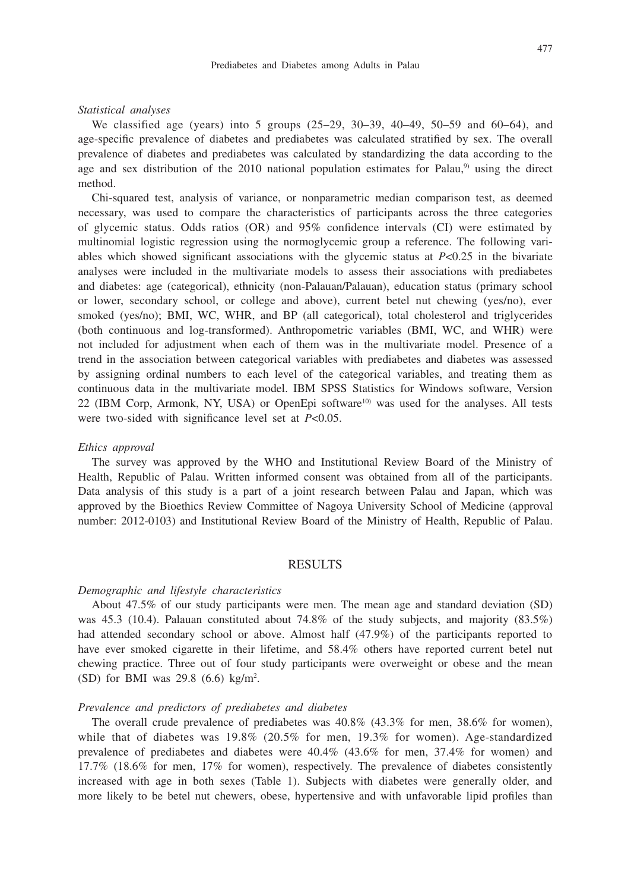#### 477

#### *Statistical analyses*

We classified age (years) into 5 groups (25–29, 30–39, 40–49, 50–59 and 60–64), and age-specific prevalence of diabetes and prediabetes was calculated stratified by sex. The overall prevalence of diabetes and prediabetes was calculated by standardizing the data according to the age and sex distribution of the  $2010$  national population estimates for Palau,<sup>9)</sup> using the direct method.

Chi-squared test, analysis of variance, or nonparametric median comparison test, as deemed necessary, was used to compare the characteristics of participants across the three categories of glycemic status. Odds ratios (OR) and 95% confidence intervals (CI) were estimated by multinomial logistic regression using the normoglycemic group a reference. The following variables which showed significant associations with the glycemic status at *P*<0.25 in the bivariate analyses were included in the multivariate models to assess their associations with prediabetes and diabetes: age (categorical), ethnicity (non-Palauan/Palauan), education status (primary school or lower, secondary school, or college and above), current betel nut chewing (yes/no), ever smoked (yes/no); BMI, WC, WHR, and BP (all categorical), total cholesterol and triglycerides (both continuous and log-transformed). Anthropometric variables (BMI, WC, and WHR) were not included for adjustment when each of them was in the multivariate model. Presence of a trend in the association between categorical variables with prediabetes and diabetes was assessed by assigning ordinal numbers to each level of the categorical variables, and treating them as continuous data in the multivariate model. IBM SPSS Statistics for Windows software, Version 22 (IBM Corp, Armonk, NY, USA) or OpenEpi software<sup>10)</sup> was used for the analyses. All tests were two-sided with significance level set at *P*<0.05.

#### *Ethics approval*

The survey was approved by the WHO and Institutional Review Board of the Ministry of Health, Republic of Palau. Written informed consent was obtained from all of the participants. Data analysis of this study is a part of a joint research between Palau and Japan, which was approved by the Bioethics Review Committee of Nagoya University School of Medicine (approval number: 2012-0103) and Institutional Review Board of the Ministry of Health, Republic of Palau.

## RESULTS

#### *Demographic and lifestyle characteristics*

About 47.5% of our study participants were men. The mean age and standard deviation (SD) was 45.3 (10.4). Palauan constituted about 74.8% of the study subjects, and majority  $(83.5%)$ had attended secondary school or above. Almost half (47.9%) of the participants reported to have ever smoked cigarette in their lifetime, and 58.4% others have reported current betel nut chewing practice. Three out of four study participants were overweight or obese and the mean  $(SD)$  for BMI was 29.8  $(6.6)$  kg/m<sup>2</sup>.

#### *Prevalence and predictors of prediabetes and diabetes*

The overall crude prevalence of prediabetes was 40.8% (43.3% for men, 38.6% for women), while that of diabetes was 19.8% (20.5% for men, 19.3% for women). Age-standardized prevalence of prediabetes and diabetes were 40.4% (43.6% for men, 37.4% for women) and 17.7% (18.6% for men, 17% for women), respectively. The prevalence of diabetes consistently increased with age in both sexes (Table 1). Subjects with diabetes were generally older, and more likely to be betel nut chewers, obese, hypertensive and with unfavorable lipid profiles than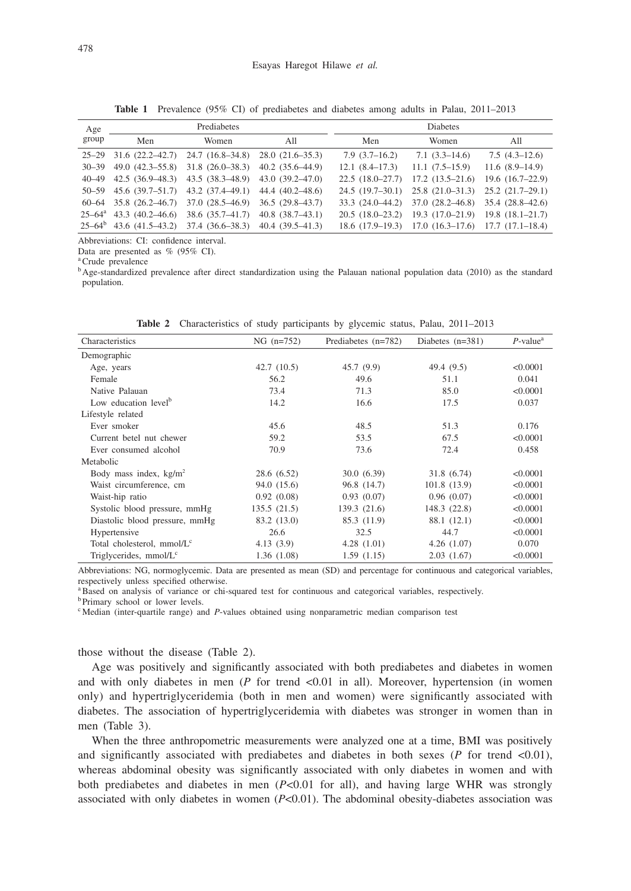| Age               | Prediabetes                |                     |                        | <b>Diabetes</b>   |                                                    |                   |
|-------------------|----------------------------|---------------------|------------------------|-------------------|----------------------------------------------------|-------------------|
| group             | Men                        | Women               | All                    | Men               | Women                                              | All               |
|                   | $25-29$ 31.6 $(22.2-42.7)$ | $24.7(16.8-34.8)$   | $28.0(21.6-35.3)$      | $7.9(3.7-16.2)$   | $7.1(3.3-14.6)$                                    | $7.5(4.3-12.6)$   |
| $30 - 39$         | $49.0(42.3-55.8)$          | $31.8(26.0-38.3)$   | $40.2(35.6-44.9)$      | $12.1(8.4-17.3)$  | $11.1(7.5-15.9)$                                   | $11.6(8.9-14.9)$  |
| $40 - 49$         | $42.5(36.9-48.3)$          | $43.5(38.3 - 48.9)$ | 43.0 (39.2-47.0)       | $22.5(18.0-27.7)$ | $17.2(13.5-21.6)$                                  | $19.6(16.7-22.9)$ |
|                   | $50-59$ 45.6 (39.7-51.7)   | $43.2(37.4 - 49.1)$ | 44.4 (40.2-48.6)       |                   | 24.5 (19.7–30.1) 25.8 (21.0–31.3) 25.2 (21.7–29.1) |                   |
|                   | $60-64$ 35.8 $(26.2-46.7)$ | $37.0(28.5-46.9)$   | $36.5(29.8-43.7)$      | $33.3(24.0-44.2)$ | 37.0 (28.2–46.8) 35.4 (28.8–42.6)                  |                   |
| $25 - 64^{\circ}$ | $43.3(40.2 - 46.6)$        | $38.6(35.7-41.7)$   | $40.8$ $(38.7 - 43.1)$ | $20.5(18.0-23.2)$ | $19.3(17.0-21.9)$ 19.8 $(18.1-21.7)$               |                   |
|                   | $25-64^b$ 43.6 (41.5-43.2) | $37.4(36.6-38.3)$   | $40.4(39.5-41.3)$      | $18.6(17.9-19.3)$ | $17.0(16.3-17.6)$ $17.7(17.1-18.4)$                |                   |

**Table 1** Prevalence (95% CI) of prediabetes and diabetes among adults in Palau, 2011–2013

Abbreviations: CI: confidence interval.

Data are presented as % (95% CI).

<sup>a</sup>Crude prevalence

bAge-standardized prevalence after direct standardization using the Palauan national population data (2010) as the standard population.

| Characteristics                        | $NG (n=752)$ | Prediabetes $(n=782)$ | Diabetes $(n=381)$ | $P$ -value <sup>a</sup> |
|----------------------------------------|--------------|-----------------------|--------------------|-------------------------|
| Demographic                            |              |                       |                    |                         |
| Age, years                             | 42.7(10.5)   | 45.7(9.9)             | 49.4 (9.5)         | < 0.0001                |
| Female                                 | 56.2         | 49.6                  | 51.1               | 0.041                   |
| Native Palauan                         | 73.4         | 71.3                  | 85.0               | < 0.0001                |
| Low education level <sup>b</sup>       | 14.2         | 16.6                  | 17.5               | 0.037                   |
| Lifestyle related                      |              |                       |                    |                         |
| Ever smoker                            | 45.6         | 48.5                  | 51.3               | 0.176                   |
| Current betel nut chewer               | 59.2         | 53.5                  | 67.5               | < 0.0001                |
| Ever consumed alcohol                  | 70.9         | 73.6                  | 72.4               | 0.458                   |
| Metabolic                              |              |                       |                    |                         |
| Body mass index, $kg/m2$               | 28.6 (6.52)  | 30.0(6.39)            | 31.8 (6.74)        | < 0.0001                |
| Waist circumference, cm                | 94.0 (15.6)  | 96.8 (14.7)           | 101.8(13.9)        | < 0.0001                |
| Waist-hip ratio                        | 0.92(0.08)   | 0.93(0.07)            | 0.96(0.07)         | < 0.0001                |
| Systolic blood pressure, mmHg          | 135.5(21.5)  | 139.3(21.6)           | 148.3(22.8)        | < 0.0001                |
| Diastolic blood pressure, mmHg         | 83.2 (13.0)  | 85.3 (11.9)           | 88.1 (12.1)        | < 0.0001                |
| Hypertensive                           | 26.6         | 32.5                  | 44.7               | < 0.0001                |
| Total cholesterol, mmol/L <sup>c</sup> | 4.13(3.9)    | 4.28(1.01)            | 4.26(1.07)         | 0.070                   |
| Triglycerides, mmol/L <sup>c</sup>     | 1.36(1.08)   | 1.59(1.15)            | 2.03(1.67)         | < 0.0001                |

**Table 2** Characteristics of study participants by glycemic status, Palau, 2011–2013

Abbreviations: NG, normoglycemic. Data are presented as mean (SD) and percentage for continuous and categorical variables, respectively unless specified otherwise.

<sup>a</sup>Based on analysis of variance or chi-squared test for continuous and categorical variables, respectively.

**b**Primary school or lower levels.

<sup>c</sup> Median (inter-quartile range) and *P*-values obtained using nonparametric median comparison test

those without the disease (Table 2).

Age was positively and significantly associated with both prediabetes and diabetes in women and with only diabetes in men  $(P$  for trend <0.01 in all). Moreover, hypertension (in women only) and hypertriglyceridemia (both in men and women) were significantly associated with diabetes. The association of hypertriglyceridemia with diabetes was stronger in women than in men (Table 3).

When the three anthropometric measurements were analyzed one at a time, BMI was positively and significantly associated with prediabetes and diabetes in both sexes (*P* for trend <0.01), whereas abdominal obesity was significantly associated with only diabetes in women and with both prediabetes and diabetes in men  $(P< 0.01$  for all), and having large WHR was strongly associated with only diabetes in women (*P*<0.01). The abdominal obesity-diabetes association was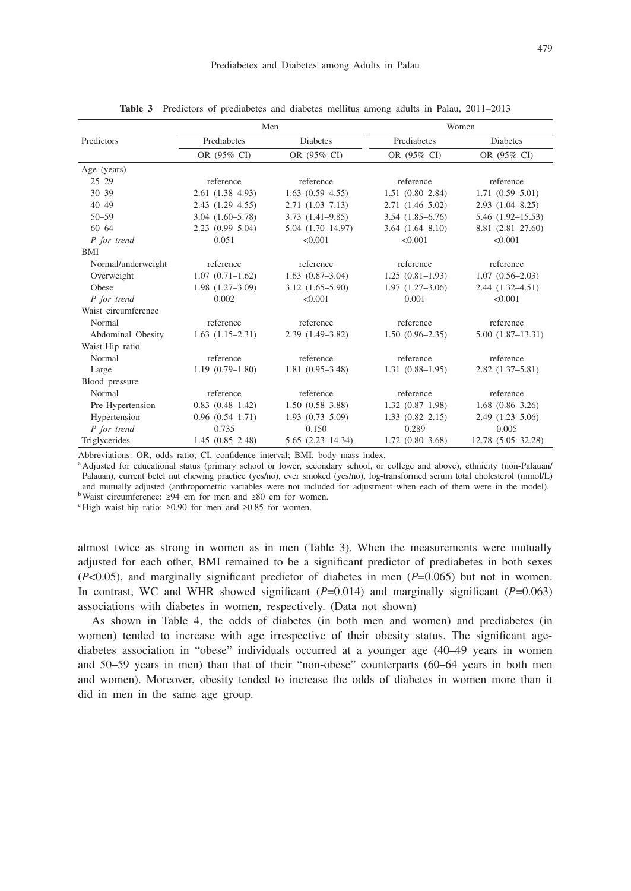|                     |                      | Men                  | Women               |                        |  |
|---------------------|----------------------|----------------------|---------------------|------------------------|--|
| Predictors          | Prediabetes          | <b>Diabetes</b>      | Prediabetes         | <b>Diabetes</b>        |  |
|                     | OR (95% CI)          | OR (95% CI)          | OR (95% CI)         | OR (95% CI)            |  |
| Age (years)         |                      |                      |                     |                        |  |
| $25 - 29$           | reference            | reference            | reference           | reference              |  |
| $30 - 39$           | $2.61(1.38-4.93)$    | $1.63(0.59-4.55)$    | $1.51(0.80-2.84)$   | $1.71(0.59 - 5.01)$    |  |
| $40 - 49$           | $2.43(1.29 - 4.55)$  | $2.71(1.03 - 7.13)$  | $2.71(1.46-5.02)$   | $2.93(1.04 - 8.25)$    |  |
| $50 - 59$           | $3.04(1.60 - 5.78)$  | $3.73(1.41 - 9.85)$  | $3.54(1.85 - 6.76)$ | 5.46 (1.92-15.53)      |  |
| $60 - 64$           | $2.23(0.99 - 5.04)$  | $5.04(1.70-14.97)$   | $3.64(1.64 - 8.10)$ | $8.81(2.81-27.60)$     |  |
| P for trend         | 0.051                | < 0.001              | < 0.001             | < 0.001                |  |
| <b>BMI</b>          |                      |                      |                     |                        |  |
| Normal/underweight  | reference            | reference            | reference           | reference              |  |
| Overweight          | $1.07(0.71-1.62)$    | $1.63(0.87-3.04)$    | $1.25(0.81-1.93)$   | $1.07(0.56-2.03)$      |  |
| Obese               | $1.98(1.27-3.09)$    | $3.12(1.65 - 5.90)$  | $1.97(1.27-3.06)$   | $2.44(1.32 - 4.51)$    |  |
| P for trend         | 0.002                | < 0.001              | 0.001               | < 0.001                |  |
| Waist circumference |                      |                      |                     |                        |  |
| Normal              | reference            | reference            | reference           | reference              |  |
| Abdominal Obesity   | $1.63(1.15-2.31)$    | $2.39(1.49-3.82)$    | $1.50(0.96-2.35)$   | $5.00(1.87-13.31)$     |  |
| Waist-Hip ratio     |                      |                      |                     |                        |  |
| Normal              | reference            | reference            | reference           | reference              |  |
| Large               | $1.19(0.79-1.80)$    | $1.81(0.95-3.48)$    | $1.31(0.88 - 1.95)$ | $2.82(1.37-5.81)$      |  |
| Blood pressure      |                      |                      |                     |                        |  |
| Normal              | reference            | reference            | reference           | reference              |  |
| Pre-Hypertension    | $0.83$ $(0.48-1.42)$ | $1.50(0.58-3.88)$    | $1.32(0.87-1.98)$   | $1.68$ $(0.86 - 3.26)$ |  |
| Hypertension        | $0.96(0.54 - 1.71)$  | $1.93(0.73 - 5.09)$  | $1.33(0.82 - 2.15)$ | $2.49(1.23 - 5.06)$    |  |
| P for trend         | 0.735                | 0.150                | 0.289               | 0.005                  |  |
| Triglycerides       | $1.45(0.85-2.48)$    | $5.65(2.23 - 14.34)$ | $1.72(0.80-3.68)$   | 12.78 (5.05-32.28)     |  |

**Table 3** Predictors of prediabetes and diabetes mellitus among adults in Palau, 2011–2013

Abbreviations: OR, odds ratio; CI, confidence interval; BMI, body mass index.

a Adjusted for educational status (primary school or lower, secondary school, or college and above), ethnicity (non-Palauan/ Palauan), current betel nut chewing practice (yes/no), ever smoked (yes/no), log-transformed serum total cholesterol (mmol/L) and mutually adjusted (anthropometric variables were not included for adjustment when each of them were in the model). bWaist circumference:  $\geq 94$  cm for men and  $\geq 80$  cm for women.

<sup>c</sup> High waist-hip ratio: ≥0.90 for men and ≥0.85 for women.

almost twice as strong in women as in men (Table 3). When the measurements were mutually adjusted for each other, BMI remained to be a significant predictor of prediabetes in both sexes (*P*<0.05), and marginally significant predictor of diabetes in men (*P*=0.065) but not in women. In contrast, WC and WHR showed significant  $(P=0.014)$  and marginally significant  $(P=0.063)$ associations with diabetes in women, respectively. (Data not shown)

As shown in Table 4, the odds of diabetes (in both men and women) and prediabetes (in women) tended to increase with age irrespective of their obesity status. The significant agediabetes association in "obese" individuals occurred at a younger age (40–49 years in women and 50–59 years in men) than that of their "non-obese" counterparts (60–64 years in both men and women). Moreover, obesity tended to increase the odds of diabetes in women more than it did in men in the same age group.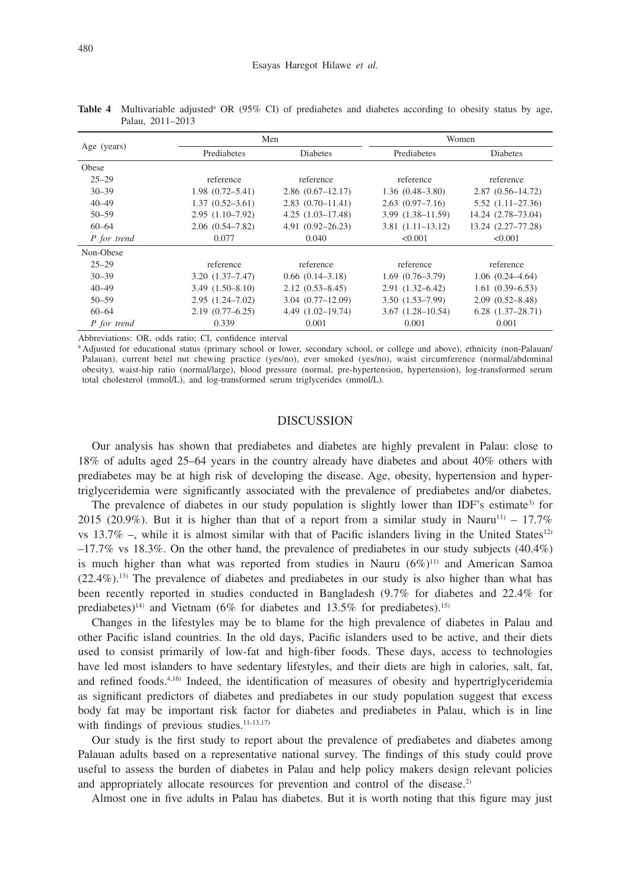|             |                     | Men                  | Women                   |                       |  |
|-------------|---------------------|----------------------|-------------------------|-----------------------|--|
| Age (years) | Prediabetes         | <b>Diabetes</b>      | Prediabetes             | <b>Diabetes</b>       |  |
| Obese       |                     |                      |                         |                       |  |
| $25 - 29$   | reference           | reference            | reference               | reference             |  |
| $30 - 39$   | $1.98(0.72 - 5.41)$ | $2.86(0.67-12.17)$   | $1.36(0.48-3.80)$       | $2.87(0.56 - 14.72)$  |  |
| $40 - 49$   | $1.37(0.52 - 3.61)$ | $2.83(0.70 - 11.41)$ | $2.63(0.97 - 7.16)$     | $5.52(1.11 - 27.36)$  |  |
| $50 - 59$   | $2.95(1.10-7.92)$   | $4.25(1.03 - 17.48)$ | $3.99(1.38 - 11.59)$    | 14.24 (2.78-73.04)    |  |
| $60 - 64$   | $2.06(0.54 - 7.82)$ | $4.91(0.92 - 26.23)$ | $3.81(1.11-13.12)$      | 13.24 (2.27-77.28)    |  |
| P for trend | 0.077               | 0.040                | < 0.001                 | < 0.001               |  |
| Non-Obese   |                     |                      |                         |                       |  |
| $25 - 29$   | reference           | reference            | reference               | reference             |  |
| $30 - 39$   | $3.20(1.37 - 7.47)$ | $0.66$ $(0.14-3.18)$ | $1.69(0.76-3.79)$       | $1.06(0.24 - 4.64)$   |  |
| $40 - 49$   | $3.49(1.50 - 8.10)$ | $2.12(0.53 - 8.45)$  | $2.91(1.32 - 6.42)$     | $1.61(0.39 - 6.53)$   |  |
| $50 - 59$   | $2.95(1.24 - 7.02)$ | $3.04(0.77-12.09)$   | $3.50(1.53 - 7.99)$     | $2.09(0.52 - 8.48)$   |  |
| $60 - 64$   | $2.19(0.77 - 6.25)$ | 4.49 (1.02-19.74)    | $3.67$ $(1.28 - 10.54)$ | $6.28$ $(1.37-28.71)$ |  |
| P for trend | 0.339               | 0.001                | 0.001                   | 0.001                 |  |

Table 4 Multivariable adjusted<sup>a</sup> OR (95% CI) of prediabetes and diabetes according to obesity status by age, Palau, 2011–2013

Abbreviations: OR, odds ratio; CI, confidence interval

a Adjusted for educational status (primary school or lower, secondary school, or college and above), ethnicity (non-Palauan/ Palauan), current betel nut chewing practice (yes/no), ever smoked (yes/no), waist circumference (normal/abdominal obesity), waist-hip ratio (normal/large), blood pressure (normal, pre-hypertension, hypertension), log-transformed serum total cholesterol (mmol/L), and log-transformed serum triglycerides (mmol/L).

## DISCUSSION

Our analysis has shown that prediabetes and diabetes are highly prevalent in Palau: close to 18% of adults aged 25–64 years in the country already have diabetes and about 40% others with prediabetes may be at high risk of developing the disease. Age, obesity, hypertension and hypertriglyceridemia were significantly associated with the prevalence of prediabetes and/or diabetes.

The prevalence of diabetes in our study population is slightly lower than IDF's estimate<sup>3)</sup> for 2015 (20.9%). But it is higher than that of a report from a similar study in Nauru<sup>11)</sup> – 17.7% vs 13.7% –, while it is almost similar with that of Pacific islanders living in the United States<sup>12)</sup>  $-17.7\%$  vs 18.3%. On the other hand, the prevalence of prediabetes in our study subjects (40.4%) is much higher than what was reported from studies in Nauru  $(6\%)^{11}$  and American Samoa  $(22.4\%)$ .<sup>13)</sup> The prevalence of diabetes and prediabetes in our study is also higher than what has been recently reported in studies conducted in Bangladesh (9.7% for diabetes and 22.4% for prediabetes)<sup>14)</sup> and Vietnam (6% for diabetes and 13.5% for prediabetes).<sup>15)</sup>

Changes in the lifestyles may be to blame for the high prevalence of diabetes in Palau and other Pacific island countries. In the old days, Pacific islanders used to be active, and their diets used to consist primarily of low-fat and high-fiber foods. These days, access to technologies have led most islanders to have sedentary lifestyles, and their diets are high in calories, salt, fat, and refined foods.<sup>4,16)</sup> Indeed, the identification of measures of obesity and hypertriglyceridemia as significant predictors of diabetes and prediabetes in our study population suggest that excess body fat may be important risk factor for diabetes and prediabetes in Palau, which is in line with findings of previous studies. $11-13,17$ )

Our study is the first study to report about the prevalence of prediabetes and diabetes among Palauan adults based on a representative national survey. The findings of this study could prove useful to assess the burden of diabetes in Palau and help policy makers design relevant policies and appropriately allocate resources for prevention and control of the disease.<sup>2)</sup>

Almost one in five adults in Palau has diabetes. But it is worth noting that this figure may just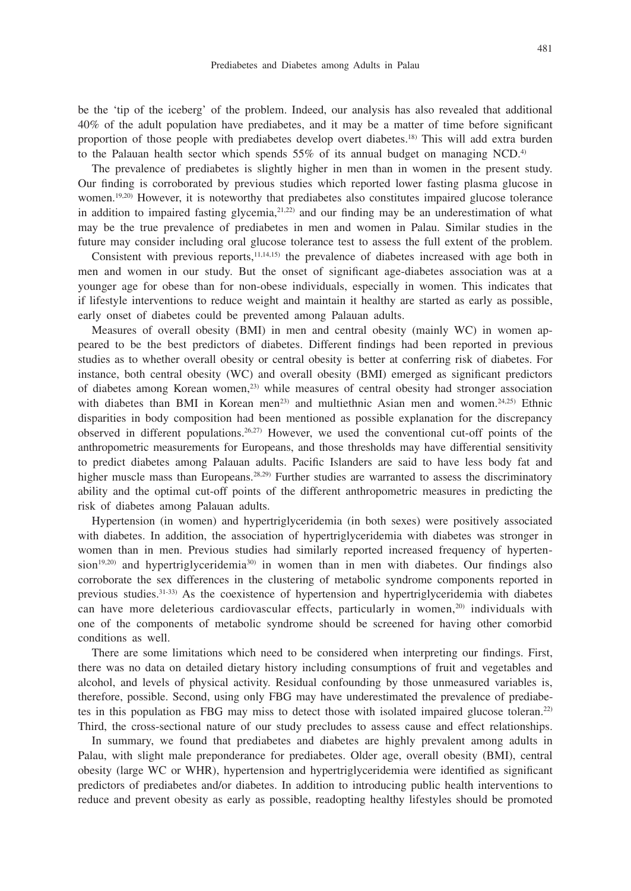be the 'tip of the iceberg' of the problem. Indeed, our analysis has also revealed that additional 40% of the adult population have prediabetes, and it may be a matter of time before significant proportion of those people with prediabetes develop overt diabetes.18) This will add extra burden to the Palauan health sector which spends  $55\%$  of its annual budget on managing NCD.<sup>4)</sup>

The prevalence of prediabetes is slightly higher in men than in women in the present study. Our finding is corroborated by previous studies which reported lower fasting plasma glucose in women.<sup>19,20)</sup> However, it is noteworthy that prediabetes also constitutes impaired glucose tolerance in addition to impaired fasting glycemia,21,22) and our finding may be an underestimation of what may be the true prevalence of prediabetes in men and women in Palau. Similar studies in the future may consider including oral glucose tolerance test to assess the full extent of the problem.

Consistent with previous reports, $11,14,15$  the prevalence of diabetes increased with age both in men and women in our study. But the onset of significant age-diabetes association was at a younger age for obese than for non-obese individuals, especially in women. This indicates that if lifestyle interventions to reduce weight and maintain it healthy are started as early as possible, early onset of diabetes could be prevented among Palauan adults.

Measures of overall obesity (BMI) in men and central obesity (mainly WC) in women appeared to be the best predictors of diabetes. Different findings had been reported in previous studies as to whether overall obesity or central obesity is better at conferring risk of diabetes. For instance, both central obesity (WC) and overall obesity (BMI) emerged as significant predictors of diabetes among Korean women,23) while measures of central obesity had stronger association with diabetes than BMI in Korean men<sup>23)</sup> and multiethnic Asian men and women.<sup>24,25)</sup> Ethnic disparities in body composition had been mentioned as possible explanation for the discrepancy observed in different populations.26,27) However, we used the conventional cut-off points of the anthropometric measurements for Europeans, and those thresholds may have differential sensitivity to predict diabetes among Palauan adults. Pacific Islanders are said to have less body fat and higher muscle mass than Europeans.<sup>28,29)</sup> Further studies are warranted to assess the discriminatory ability and the optimal cut-off points of the different anthropometric measures in predicting the risk of diabetes among Palauan adults.

Hypertension (in women) and hypertriglyceridemia (in both sexes) were positively associated with diabetes. In addition, the association of hypertriglyceridemia with diabetes was stronger in women than in men. Previous studies had similarly reported increased frequency of hyperten $s$ ion<sup>19,20</sup>) and hypertriglyceridemia<sup>30</sup> in women than in men with diabetes. Our findings also corroborate the sex differences in the clustering of metabolic syndrome components reported in previous studies.31-33) As the coexistence of hypertension and hypertriglyceridemia with diabetes can have more deleterious cardiovascular effects, particularly in women,<sup>20)</sup> individuals with one of the components of metabolic syndrome should be screened for having other comorbid conditions as well.

There are some limitations which need to be considered when interpreting our findings. First, there was no data on detailed dietary history including consumptions of fruit and vegetables and alcohol, and levels of physical activity. Residual confounding by those unmeasured variables is, therefore, possible. Second, using only FBG may have underestimated the prevalence of prediabetes in this population as FBG may miss to detect those with isolated impaired glucose toleran.22) Third, the cross-sectional nature of our study precludes to assess cause and effect relationships.

In summary, we found that prediabetes and diabetes are highly prevalent among adults in Palau, with slight male preponderance for prediabetes. Older age, overall obesity (BMI), central obesity (large WC or WHR), hypertension and hypertriglyceridemia were identified as significant predictors of prediabetes and/or diabetes. In addition to introducing public health interventions to reduce and prevent obesity as early as possible, readopting healthy lifestyles should be promoted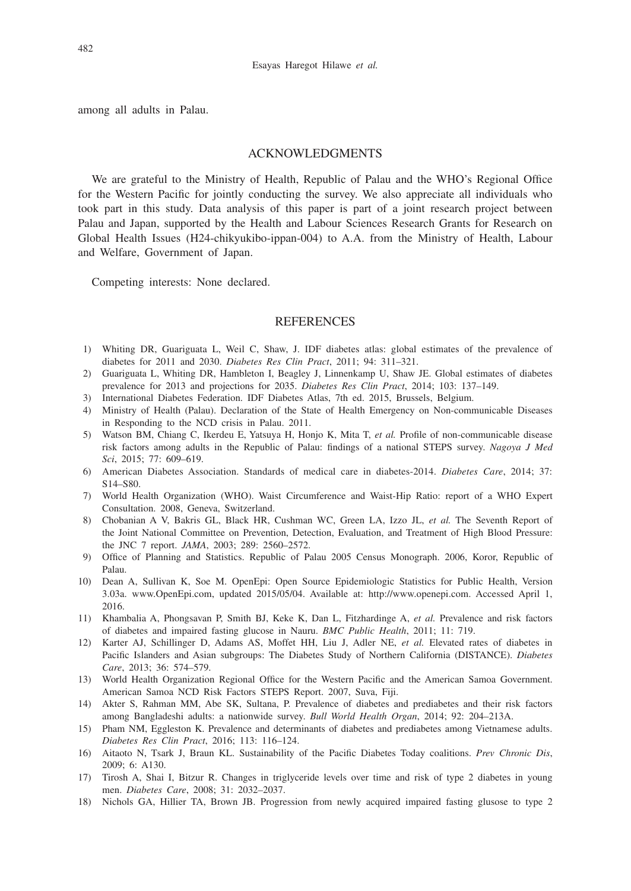among all adults in Palau.

### ACKNOWLEDGMENTS

We are grateful to the Ministry of Health, Republic of Palau and the WHO's Regional Office for the Western Pacific for jointly conducting the survey. We also appreciate all individuals who took part in this study. Data analysis of this paper is part of a joint research project between Palau and Japan, supported by the Health and Labour Sciences Research Grants for Research on Global Health Issues (H24-chikyukibo-ippan-004) to A.A. from the Ministry of Health, Labour and Welfare, Government of Japan.

Competing interests: None declared.

### REFERENCES

- 1) Whiting DR, Guariguata L, Weil C, Shaw, J. IDF diabetes atlas: global estimates of the prevalence of diabetes for 2011 and 2030. *Diabetes Res Clin Pract*, 2011; 94: 311–321.
- 2) Guariguata L, Whiting DR, Hambleton I, Beagley J, Linnenkamp U, Shaw JE. Global estimates of diabetes prevalence for 2013 and projections for 2035. *Diabetes Res Clin Pract*, 2014; 103: 137–149.
- 3) International Diabetes Federation. IDF Diabetes Atlas, 7th ed. 2015, Brussels, Belgium.
- 4) Ministry of Health (Palau). Declaration of the State of Health Emergency on Non-communicable Diseases in Responding to the NCD crisis in Palau. 2011.
- 5) Watson BM, Chiang C, Ikerdeu E, Yatsuya H, Honjo K, Mita T, *et al.* Profile of non-communicable disease risk factors among adults in the Republic of Palau: findings of a national STEPS survey. *Nagoya J Med Sci*, 2015; 77: 609–619.
- 6) American Diabetes Association. Standards of medical care in diabetes-2014. *Diabetes Care*, 2014; 37: S14–S80.
- 7) World Health Organization (WHO). Waist Circumference and Waist-Hip Ratio: report of a WHO Expert Consultation. 2008, Geneva, Switzerland.
- 8) Chobanian A V, Bakris GL, Black HR, Cushman WC, Green LA, Izzo JL, *et al.* The Seventh Report of the Joint National Committee on Prevention, Detection, Evaluation, and Treatment of High Blood Pressure: the JNC 7 report. *JAMA*, 2003; 289: 2560–2572.
- 9) Office of Planning and Statistics. Republic of Palau 2005 Census Monograph. 2006, Koror, Republic of Palau.
- 10) Dean A, Sullivan K, Soe M. OpenEpi: Open Source Epidemiologic Statistics for Public Health, Version 3.03a. www.OpenEpi.com, updated 2015/05/04. Available at: http://www.openepi.com. Accessed April 1, 2016.
- 11) Khambalia A, Phongsavan P, Smith BJ, Keke K, Dan L, Fitzhardinge A, *et al.* Prevalence and risk factors of diabetes and impaired fasting glucose in Nauru. *BMC Public Health*, 2011; 11: 719.
- 12) Karter AJ, Schillinger D, Adams AS, Moffet HH, Liu J, Adler NE, *et al.* Elevated rates of diabetes in Pacific Islanders and Asian subgroups: The Diabetes Study of Northern California (DISTANCE). *Diabetes Care*, 2013; 36: 574–579.
- 13) World Health Organization Regional Office for the Western Pacific and the American Samoa Government. American Samoa NCD Risk Factors STEPS Report. 2007, Suva, Fiji.
- 14) Akter S, Rahman MM, Abe SK, Sultana, P. Prevalence of diabetes and prediabetes and their risk factors among Bangladeshi adults: a nationwide survey. *Bull World Health Organ*, 2014; 92: 204–213A.
- 15) Pham NM, Eggleston K. Prevalence and determinants of diabetes and prediabetes among Vietnamese adults. *Diabetes Res Clin Pract*, 2016; 113: 116–124.
- 16) Aitaoto N, Tsark J, Braun KL. Sustainability of the Pacific Diabetes Today coalitions. *Prev Chronic Dis*, 2009; 6: A130.
- 17) Tirosh A, Shai I, Bitzur R. Changes in triglyceride levels over time and risk of type 2 diabetes in young men. *Diabetes Care*, 2008; 31: 2032–2037.
- 18) Nichols GA, Hillier TA, Brown JB. Progression from newly acquired impaired fasting glusose to type 2